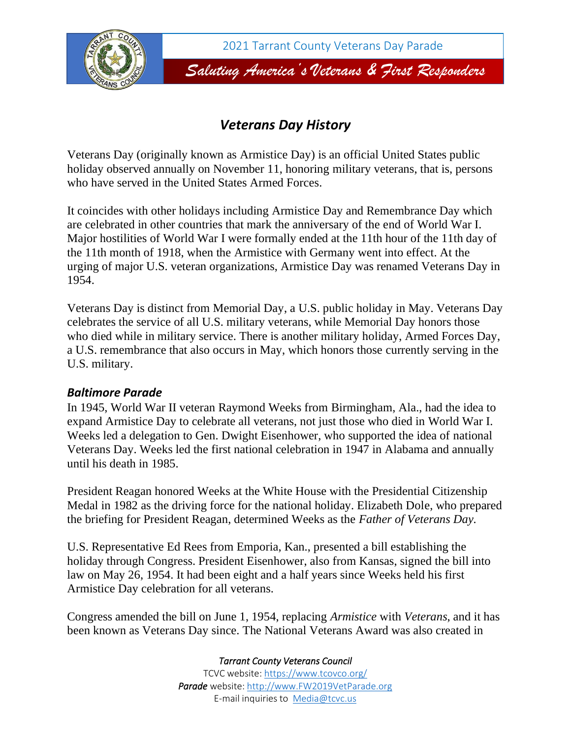

## *Veterans Day History*

Veterans Day (originally known as Armistice Day) is an official [United States public](https://en.wikipedia.org/wiki/Public_holidays_in_the_United_States)  [holiday](https://en.wikipedia.org/wiki/Public_holidays_in_the_United_States) observed annually on November 11, honoring [military veterans,](https://en.wikipedia.org/wiki/Veteran) that is, persons who have served in the [United States Armed Forces.](https://en.wikipedia.org/wiki/United_States_Armed_Forces)

It coincides with other holidays including [Armistice Day](https://en.wikipedia.org/wiki/Armistice_Day) and [Remembrance Day](https://en.wikipedia.org/wiki/Remembrance_Day) which are celebrated in other countries that mark the anniversary of the end of [World War I.](https://en.wikipedia.org/wiki/World_War_I) Major hostilities of World War I were formally ended at the 11th hour of the 11th day of the 11th month of 1918, when the [Armistice with Germany](https://en.wikipedia.org/wiki/Armistice_with_Germany) went into effect. At the urging of major U.S. veteran organizations, Armistice Day was renamed Veterans Day in 1954.

Veterans Day is distinct from [Memorial Day,](https://en.wikipedia.org/wiki/Memorial_Day) a U.S. public holiday in May. Veterans Day celebrates the service of all U.S. military veterans, while Memorial Day honors those who died while in military service. There is another military holiday, [Armed Forces Day,](https://en.wikipedia.org/wiki/Armed_Forces_Day#United_States) a U.S. remembrance that also occurs in May, which honors those currently serving in the U.S. military.

## *Baltimore Parade*

In 1945, [World War II](https://en.wikipedia.org/wiki/World_War_II) veteran Raymond Weeks from [Birmingham, Ala.,](https://en.wikipedia.org/wiki/Birmingham,_Alabama) had the idea to expand Armistice Day to celebrate all veterans, not just those who died in [World War I.](https://en.wikipedia.org/wiki/World_War_I) Weeks led a delegation to Gen. Dwight Eisenhower, who supported the idea of national Veterans Day. Weeks led the first national celebration in 1947 in Alabama and annually until his death in 1985.

President Reagan honored Weeks at the White House with the Presidential Citizenship Medal in 1982 as the driving force for the national holiday. Elizabeth Dole, who prepared the briefing for President Reagan, determined Weeks as the *Father of Veterans Day.*

U.S. Representative [Ed Rees](https://en.wikipedia.org/wiki/Edward_Herbert_Rees) from [Emporia, Kan.,](https://en.wikipedia.org/wiki/Emporia,_Kansas) presented a bill establishing the holiday through Congress. President [Eisenhower,](https://en.wikipedia.org/wiki/Dwight_D._Eisenhower) also from Kansas, signed the bill into law on May 26, 1954. It had been eight and a half years since Weeks held his first Armistice Day celebration for all veterans.

Congress amended the bill on June 1, 1954, replacing *Armistice* with *Veterans*, and it has been known as Veterans Day since. The National Veterans Award was also created in

*Tarrant County Veterans Council*